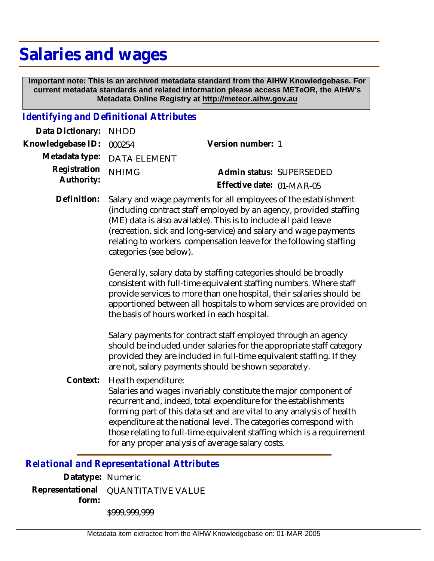## **Salaries and wages**

 **Important note: This is an archived metadata standard from the AIHW Knowledgebase. For current metadata standards and related information please access METeOR, the AIHW's Metadata Online Registry at http://meteor.aihw.gov.au**

## *Identifying and Definitional Attributes*

| Data Dictionary: NHDD    |                             |                           |  |
|--------------------------|-----------------------------|---------------------------|--|
| Knowledgebase ID: 000254 |                             | Version number: 1         |  |
|                          | Metadata type: DATA ELEMENT |                           |  |
| Registration NHIMG       |                             | Admin status: SUPERSEDED  |  |
| Authority:               |                             | Effective date: 01-MAR-05 |  |

Salary and wage payments for all employees of the establishment (including contract staff employed by an agency, provided staffing (ME) data is also available). This is to include all paid leave (recreation, sick and long-service) and salary and wage payments relating to workers compensation leave for the following staffing categories (see below). **Definition:**

> Generally, salary data by staffing categories should be broadly consistent with full-time equivalent staffing numbers. Where staff provide services to more than one hospital, their salaries should be apportioned between all hospitals to whom services are provided on the basis of hours worked in each hospital.

Salary payments for contract staff employed through an agency should be included under salaries for the appropriate staff category provided they are included in full-time equivalent staffing. If they are not, salary payments should be shown separately.

Health expenditure: Salaries and wages invariably constitute the major component of recurrent and, indeed, total expenditure for the establishments forming part of this data set and are vital to any analysis of health expenditure at the national level. The categories correspond with those relating to full-time equivalent staffing which is a requirement for any proper analysis of average salary costs. **Context:**

## *Relational and Representational Attributes*

**Datatype:** Numeric **Representational** QUANTITATIVE VALUE  **form:** \$999,999,999